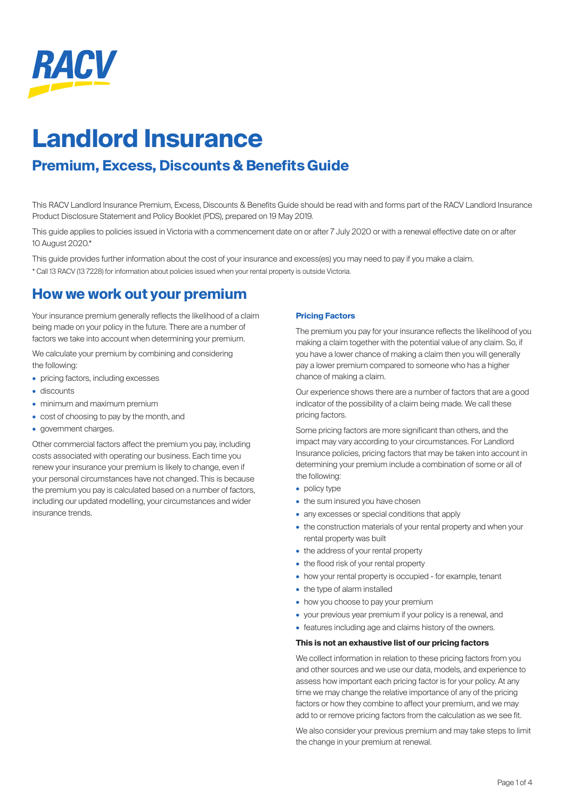

# **Landlord Insurance**

## **Premium, Excess, Discounts & Benefits Guide**

This RACV Landlord Insurance Premium, Excess, Discounts & Benefits Guide should be read with and forms part of the RACV Landlord Insurance Product Disclosure Statement and Policy Booklet (PDS), prepared on 19 May 2019.

This guide applies to policies issued in Victoria with a commencement date on or after 7 July 2020 or with a renewal effective date on or after 10 August 2020.\*

This guide provides further information about the cost of your insurance and excess(es) you may need to pay if you make a claim.

\* Call 13 RACV (13 7228) for information about policies issued when your rental property is outside Victoria.

### **How we work out your premium**

Your insurance premium generally reflects the likelihood of a claim being made on your policy in the future. There are a number of factors we take into account when determining your premium.

We calculate your premium by combining and considering the following:

- pricing factors, including excesses
- discounts
- minimum and maximum premium
- cost of choosing to pay by the month, and
- government charges.

Other commercial factors affect the premium you pay, including costs associated with operating our business. Each time you renew your insurance your premium is likely to change, even if your personal circumstances have not changed. This is because the premium you pay is calculated based on a number of factors, including our updated modelling, your circumstances and wider insurance trends.

#### **Pricing Factors**

The premium you pay for your insurance reflects the likelihood of you making a claim together with the potential value of any claim. So, if you have a lower chance of making a claim then you will generally pay a lower premium compared to someone who has a higher chance of making a claim.

Our experience shows there are a number of factors that are a good indicator of the possibility of a claim being made. We call these pricing factors.

Some pricing factors are more significant than others, and the impact may vary according to your circumstances. For Landlord Insurance policies, pricing factors that may be taken into account in determining your premium include a combination of some or all of the following:

- policy type
- the sum insured you have chosen
- any excesses or special conditions that apply
- the construction materials of your rental property and when your rental property was built
- the address of your rental property
- the flood risk of your rental property
- how your rental property is occupied for example, tenant
- the type of alarm installed
- how you choose to pay your premium
- your previous year premium if your policy is a renewal, and
- features including age and claims history of the owners.

#### **This is not an exhaustive list of our pricing factors**

We collect information in relation to these pricing factors from you and other sources and we use our data, models, and experience to assess how important each pricing factor is for your policy. At any time we may change the relative importance of any of the pricing factors or how they combine to affect your premium, and we may add to or remove pricing factors from the calculation as we see fit.

We also consider your previous premium and may take steps to limit the change in your premium at renewal.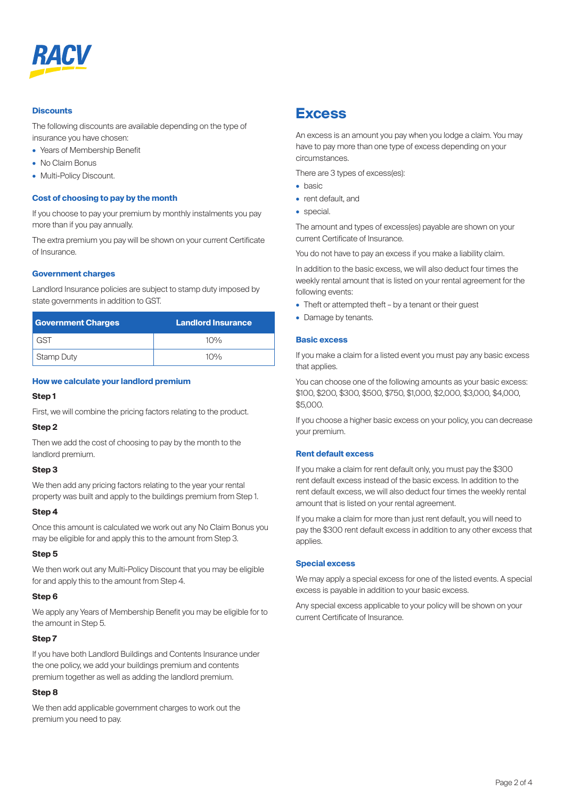

#### **Discounts**

The following discounts are available depending on the type of insurance you have chosen:

- Years of Membership Benefit
- No Claim Bonus
- Multi-Policy Discount.

#### **Cost of choosing to pay by the month**

If you choose to pay your premium by monthly instalments you pay more than if you pay annually.

The extra premium you pay will be shown on your current Certificate of Insurance.

#### **Government charges**

Landlord Insurance policies are subject to stamp duty imposed by state governments in addition to GST.

| <b>Government Charges</b> | <b>Landlord Insurance</b> |
|---------------------------|---------------------------|
| - GST                     | $10\%$                    |
| <b>Stamp Duty</b>         | 10%                       |

#### **How we calculate your landlord premium**

#### **Step 1**

First, we will combine the pricing factors relating to the product.

#### **Step 2**

Then we add the cost of choosing to pay by the month to the landlord premium.

#### **Step 3**

We then add any pricing factors relating to the year your rental property was built and apply to the buildings premium from Step 1.

#### **Step 4**

Once this amount is calculated we work out any No Claim Bonus you may be eligible for and apply this to the amount from Step 3.

#### **Step 5**

We then work out any Multi-Policy Discount that you may be eligible for and apply this to the amount from Step 4.

#### **Step 6**

We apply any Years of Membership Benefit you may be eligible for to the amount in Step 5.

#### **Step 7**

If you have both Landlord Buildings and Contents Insurance under the one policy, we add your buildings premium and contents premium together as well as adding the landlord premium.

#### **Step 8**

We then add applicable government charges to work out the premium you need to pay.

### **Excess**

An excess is an amount you pay when you lodge a claim. You may have to pay more than one type of excess depending on your circumstances.

There are 3 types of excess(es):

- basic
- rent default, and
- special.

The amount and types of excess(es) payable are shown on your current Certificate of Insurance.

You do not have to pay an excess if you make a liability claim.

In addition to the basic excess, we will also deduct four times the weekly rental amount that is listed on your rental agreement for the following events:

- Theft or attempted theft by a tenant or their guest
- Damage by tenants.

#### **Basic excess**

If you make a claim for a listed event you must pay any basic excess that applies.

You can choose one of the following amounts as your basic excess: \$100, \$200, \$300, \$500, \$750, \$1,000, \$2,000, \$3,000, \$4,000, \$5,000.

If you choose a higher basic excess on your policy, you can decrease your premium.

#### **Rent default excess**

If you make a claim for rent default only, you must pay the \$300 rent default excess instead of the basic excess. In addition to the rent default excess, we will also deduct four times the weekly rental amount that is listed on your rental agreement.

If you make a claim for more than just rent default, you will need to pay the \$300 rent default excess in addition to any other excess that applies.

#### **Special excess**

We may apply a special excess for one of the listed events. A special excess is payable in addition to your basic excess.

Any special excess applicable to your policy will be shown on your current Certificate of Insurance.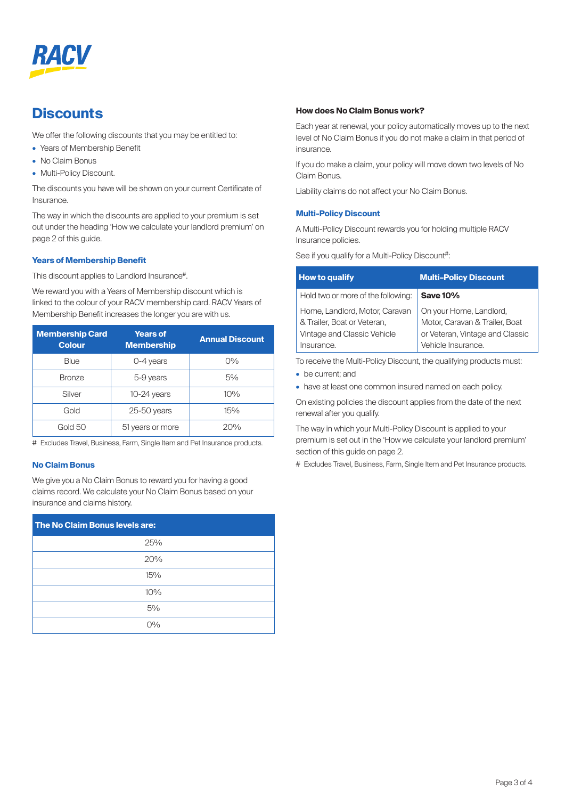

### **Discounts**

We offer the following discounts that you may be entitled to:

- Years of Membership Benefit
- No Claim Bonus
- Multi-Policy Discount.

The discounts you have will be shown on your current Certificate of Insurance.

The way in which the discounts are applied to your premium is set out under the heading 'How we calculate your landlord premium' on page 2 of this guide.

#### **Years of Membership Benefit**

This discount applies to Landlord Insurance<sup>#</sup>.

We reward you with a Years of Membership discount which is linked to the colour of your RACV membership card. RACV Years of Membership Benefit increases the longer you are with us.

| <b>Membership Card</b><br><b>Colour</b> | <b>Years of</b><br><b>Membership</b> | <b>Annual Discount</b> |
|-----------------------------------------|--------------------------------------|------------------------|
| Blue                                    | $0-4$ years                          | $O\%$                  |
| <b>Bronze</b>                           | 5-9 years                            | 5%                     |
| Silver                                  | 10-24 years                          | 10%                    |
| Gold                                    | $25-50$ years                        | 15%                    |
| Gold 50                                 | 51 years or more                     | 20%                    |

# Excludes Travel, Business, Farm, Single Item and Pet Insurance products.

#### **No Claim Bonus**

We give you a No Claim Bonus to reward you for having a good claims record. We calculate your No Claim Bonus based on your insurance and claims history.

| The No Claim Bonus levels are: |  |  |
|--------------------------------|--|--|
| 25%                            |  |  |
| 20%                            |  |  |
| 15%                            |  |  |
| 10%                            |  |  |
| 5%                             |  |  |
| $O\%$                          |  |  |

#### **How does No Claim Bonus work?**

Each year at renewal, your policy automatically moves up to the next level of No Claim Bonus if you do not make a claim in that period of insurance.

If you do make a claim, your policy will move down two levels of No Claim Bonus.

Liability claims do not affect your No Claim Bonus.

#### **Multi-Policy Discount**

A Multi-Policy Discount rewards you for holding multiple RACV Insurance policies.

See if you qualify for a Multi-Policy Discount<sup>#</sup>:

| <b>How to qualify</b>                                                                                      | <b>Multi-Policy Discount</b>                                                                                       |
|------------------------------------------------------------------------------------------------------------|--------------------------------------------------------------------------------------------------------------------|
| Hold two or more of the following:                                                                         | <b>Save 10%</b>                                                                                                    |
| Home, Landlord, Motor, Caravan<br>& Trailer, Boat or Veteran,<br>Vintage and Classic Vehicle<br>Insurance. | On your Home, Landlord,<br>Motor, Caravan & Trailer, Boat<br>or Veteran, Vintage and Classic<br>Vehicle Insurance. |

To receive the Multi-Policy Discount, the qualifying products must:

- be current; and
- have at least one common insured named on each policy.

On existing policies the discount applies from the date of the next renewal after you qualify.

The way in which your Multi-Policy Discount is applied to your premium is set out in the 'How we calculate your landlord premium' section of this guide on page 2.

# Excludes Travel, Business, Farm, Single Item and Pet Insurance products.